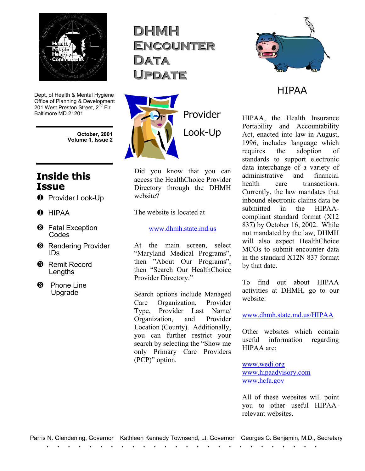

Dept. of Health & Mental Hygiene Office of Planning & Development 201 West Preston Street, 2<sup>nd</sup> Flr Baltimore MD 21201

> **October, 2001 Volume 1, Issue 2**

## **Inside this Issue**

- **O** Provider Look-Up
- $\bullet$  HIPAA
- **2** Fatal Exception Codes
- **8** Rendering Provider IDs
- **8** Remit Record **Lengths**
- **8** Phone Line Upgrade

**DHMH ENCOUNTER DDaattaa PDATE** 



Did you know that you can access the HealthChoice Provider Directory through the DHMH website?

The website is located at

[www.dhmh.state.md.us](http://www.dhmh.state.md.us/)

At the main screen, select "Maryland Medical Programs", then "About Our Programs", then "Search Our HealthChoice Provider Directory."

Search options include Managed Care Organization, Provider Type, Provider Last Name/ Organization, and Provider Location (County). Additionally, you can further restrict your search by selecting the "Show me only Primary Care Providers (PCP)" option.



### HIPAA

HIPAA, the Health Insurance Portability and Accountability Act, enacted into law in August, 1996, includes language which requires the adoption of standards to support electronic data interchange of a variety of administrative and financial health care transactions. Currently, the law mandates that inbound electronic claims data be submitted in the HIPAAcompliant standard format (X12 837) by October 16, 2002. While not mandated by the law, DHMH will also expect HealthChoice MCOs to submit encounter data in the standard X12N 837 format by that date.

To find out about HIPAA activities at DHMH, go to our website:

#### www.dhmh.state.md.us/HIPAA

Other websites which contain useful information regarding HIPAA are:

www.wedi.org www.hipaadvisory.com www.hcfa.gov

All of these websites will point you to other useful HIPAArelevant websites.

Parris N. Glendening, Governor Kathleen Kennedy Townsend, Lt. Governor Georges C. Benjamin, M.D., Secretary<br>
The contract of the contract of the contract of the contract of the contract of the contract of the contract o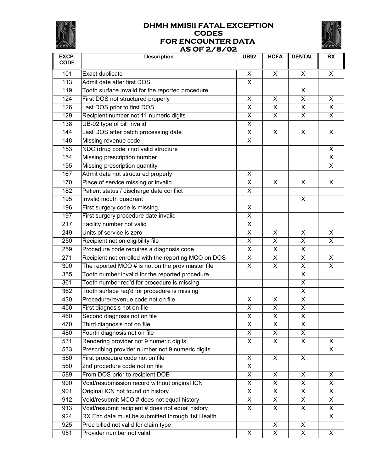

#### **DHMH MMISII FATAL EXCEPTION CODES FOR ENCOUNTER DATA AS OF 2/8/02**



| EXCP.       | AS OF 278702<br><b>Description</b>                   | <b>UB92</b>               | <b>HCFA</b>             | <b>DENTAL</b>             | <b>RX</b>               |
|-------------|------------------------------------------------------|---------------------------|-------------------------|---------------------------|-------------------------|
| <b>CODE</b> |                                                      |                           |                         |                           |                         |
| 101         | Exact duplicate                                      | X                         | $\mathsf{X}$            | X                         | X                       |
| 113         | Admit date after first DOS                           | $\pmb{\times}$            |                         |                           |                         |
| 119         | Tooth surface invalid for the reported procedure     |                           |                         | X                         |                         |
| 124         | First DOS not structured properly                    | $\pmb{\times}$            | X                       | X                         | X                       |
| 126         | Last DOS prior to first DOS                          | $\pmb{\times}$            | X                       | X                         | X.                      |
| 129         | Recipient number not 11 numeric digits               | $\pmb{\times}$            | $\overline{\mathsf{x}}$ | $\boldsymbol{\mathsf{X}}$ | X.                      |
| 138         | UB-92 type of bill invalid                           | $\boldsymbol{\mathsf{X}}$ |                         |                           |                         |
| 144         | Last DOS after batch processing date                 | X                         | X                       | X                         | X                       |
| 148         | Missing revenue code                                 | X                         |                         |                           |                         |
| 153         | NDC (drug code) not valid structure                  |                           |                         |                           | X                       |
| 154         | Missing prescription number                          |                           |                         |                           | X                       |
| 155         | Missing prescription quantity                        |                           |                         |                           | $\overline{\mathsf{x}}$ |
| 167         | Admit date not structured properly                   | X                         |                         |                           |                         |
| 170         | Place of service missing or invalid                  | X                         | X                       | X                         | X                       |
| 182         | Patient status / discharge date conflict             | $\pmb{\times}$            |                         |                           |                         |
| 195         | Invalid mouth quadrant                               |                           |                         | X                         |                         |
| 196         | First surgery code is missing.                       | X                         |                         |                           |                         |
| 197         | First surgery procedure date invalid                 | $\overline{\mathsf{x}}$   |                         |                           |                         |
| 217         | Facility number not valid                            | X                         |                         |                           |                         |
| 249         | Units of service is zero                             | $\overline{\mathsf{x}}$   | X                       | X                         | X                       |
| 250         | Recipient not on eligibility file                    | $\pmb{\times}$            | X                       | X                         | X.                      |
| 259         | Procedure code requires a diagnosis code             | $\pmb{\times}$            | X                       | X                         |                         |
| 271         | Recipient not enrolled with the reporting MCO on DOS | $\pmb{\times}$            | $\overline{\mathsf{x}}$ | X                         | X                       |
| 300         | The reported MCO $#$ is not on the prov master file  | X                         | X                       | X                         | X.                      |
| 355         | Tooth number invalid for the reported procedure      |                           |                         | X                         |                         |
| 361         | Tooth number req'd for procedure is missing          |                           |                         | X                         |                         |
| 362         | Tooth surface req'd for procedure is missing         |                           |                         | X                         |                         |
| 430         | Procedure/revenue code not on file                   | X                         | X                       | $\pmb{\times}$            |                         |
| 450         | First diagnosis not on file                          | $\overline{\mathsf{X}}$   | $\overline{\mathsf{x}}$ | $\overline{\mathsf{X}}$   |                         |
| 460         | Second diagnosis not on file                         | $\overline{X}$            | $\overline{X}$          | $\overline{X}$            |                         |
| 470         | Third diagnosis not on file                          | X                         | X                       | X                         |                         |
| 480         | Fourth diagnosis not on file                         | X                         | X                       | X                         |                         |
| 531         | Rendering provider not 9 numeric digits              | $\overline{\mathsf{x}}$   | $\overline{\mathsf{x}}$ | X                         | X.                      |
| 533         | Prescribing provider number not 9 numeric digits     |                           |                         |                           | X.                      |
| 550         | First procedure code not on file                     | X                         | X.                      | X                         |                         |
| 560         | 2nd procedure code not on file                       | X                         |                         |                           |                         |
| 589         | From DOS prior to recipient DOB                      | $\pmb{\times}$            | X                       | X                         | X                       |
| 900         | Void/resubmission record without original ICN        | X                         | X.                      | X                         | X.                      |
| 901         | Original ICN not found on history                    | X                         | X                       | X                         | X.                      |
| 912         | Void/resubmit MCO # does not equal history           | X                         | X.                      | X                         | X.                      |
| 913         | Void/resubmit recipient # does not equal history     | X                         | X.                      | X                         | $\mathsf{X}$            |
| 924         | RX Enc data must be submitted through 1st Health     |                           |                         |                           | X.                      |
| 925         | Proc billed not valid for claim type                 |                           | X                       | X                         |                         |
| 951         | Provider number not valid                            | X                         | $\overline{X}$          | $\overline{\mathsf{x}}$   | $\mathsf{X}$            |